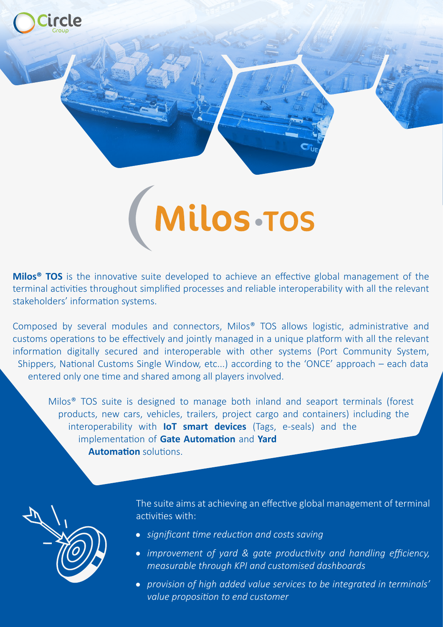

**Milos<sup>®</sup> TOS** is the innovative suite developed to achieve an effective global management of the terminal activities throughout simplified processes and reliable interoperability with all the relevant stakeholders' information systems.

Composed by several modules and connectors, Milos® TOS allows logistic, administrative and customs operations to be effectively and jointly managed in a unique platform with all the relevant information digitally secured and interoperable with other systems (Port Community System, Shippers, National Customs Single Window, etc...) according to the 'ONCE' approach – each data entered only one time and shared among all players involved.

Milos® TOS suite is designed to manage both inland and seaport terminals (forest products, new cars, vehicles, trailers, project cargo and containers) including the interoperability with **IoT smart devices** (Tags, e-seals) and the implementation of Gate Automation and Yard **Automation** solutions.



The suite aims at achieving an effective global management of terminal activities with:

- *significant time reduction and costs saving*
- *improvement of yard & gate productivity and handling efficiency, measurable through KPI and customised dashboards*
- *provision of high added value services to be integrated in terminals' value proposition to end customer*